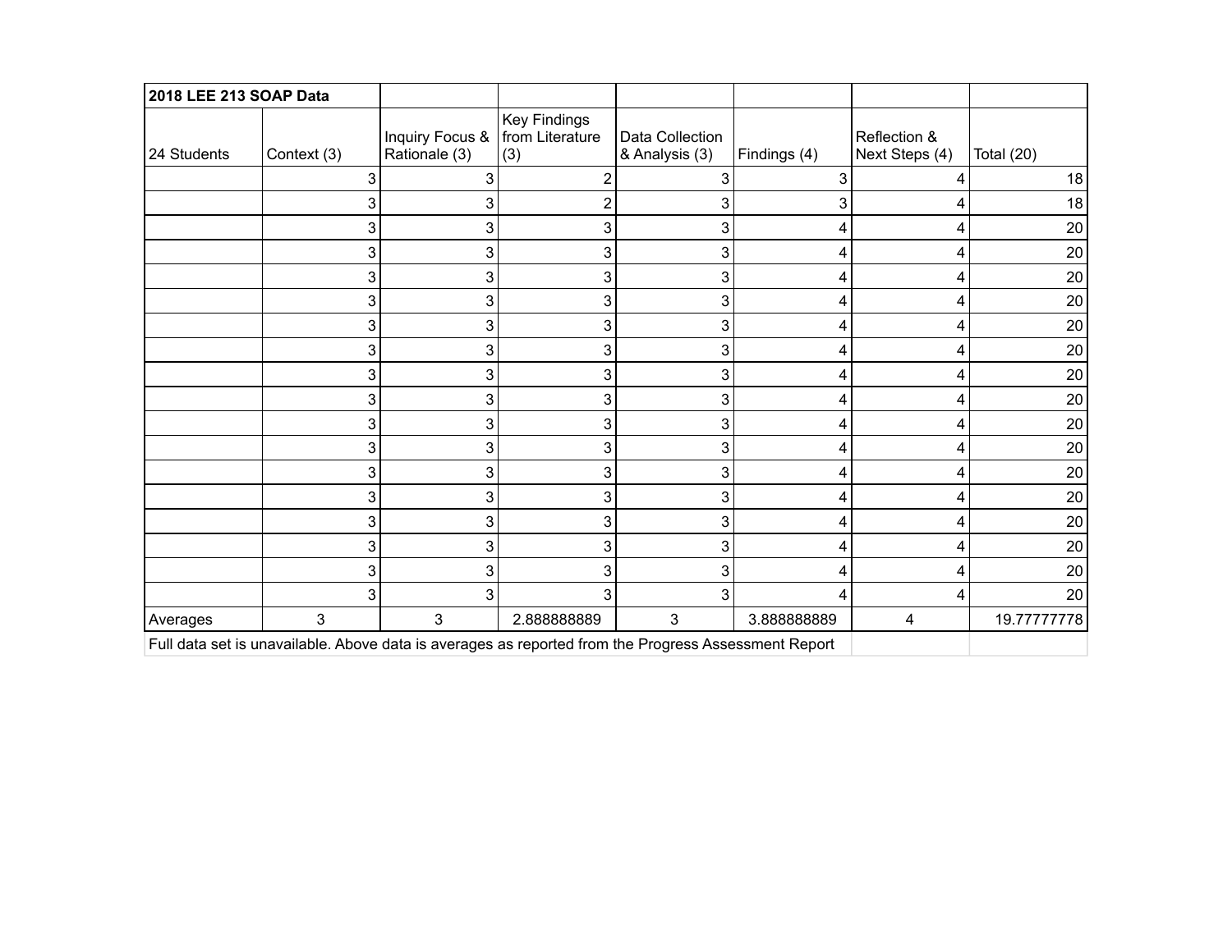| 2018 LEE 213 SOAP Data                                                                               |             |                                                    |                     |                                   |              |                                |              |  |
|------------------------------------------------------------------------------------------------------|-------------|----------------------------------------------------|---------------------|-----------------------------------|--------------|--------------------------------|--------------|--|
| 24 Students                                                                                          | Context (3) | Inquiry Focus &   from Literature<br>Rationale (3) | Key Findings<br>(3) | Data Collection<br>& Analysis (3) | Findings (4) | Reflection &<br>Next Steps (4) | Total $(20)$ |  |
|                                                                                                      | 3           | 3                                                  |                     | 3                                 | 3            | 4                              | 18           |  |
|                                                                                                      | 3           | 3                                                  | 2                   | 3                                 | 3            |                                | 18           |  |
|                                                                                                      | 3           | 3                                                  | 3                   | 3                                 | 4            | 4                              | 20           |  |
|                                                                                                      | 3           | 3                                                  | 3                   | 3                                 | 4            | 4                              | 20           |  |
|                                                                                                      | 3           | 3                                                  | 3                   | 3                                 | 4            | 4                              | 20           |  |
|                                                                                                      | 3           | 3                                                  | 3                   | 3                                 | 4            | 4                              | 20           |  |
|                                                                                                      | 3           | 3                                                  | 3                   | 3                                 |              | 4                              | 20           |  |
|                                                                                                      | 3           | 3                                                  | 3                   | 3                                 | 4            | 4                              | 20           |  |
|                                                                                                      | 3           | 3                                                  | 3                   | 3                                 | 4            | 4                              | 20           |  |
|                                                                                                      | 3           | 3                                                  | 3                   | 3                                 | 4            | 4                              | 20           |  |
|                                                                                                      | 3           | 3                                                  | 3                   | 3                                 | 4            | 4                              | 20           |  |
|                                                                                                      | 3           | 3                                                  | 3                   | 3                                 | 4            | 4                              | 20           |  |
|                                                                                                      | 3           | 3                                                  | 3                   | 3                                 | 4            | 4                              | 20           |  |
|                                                                                                      | 3           | 3                                                  | 3                   | 3                                 | 4            | 4                              | 20           |  |
|                                                                                                      | 3           | 3                                                  | 3                   | 3                                 | 4            | 4                              | 20           |  |
|                                                                                                      | 3           | 3                                                  | 3                   | 3                                 | 4            | 4                              | 20           |  |
|                                                                                                      | 3           | 3                                                  | 3                   | 3                                 | 4            | 4                              | 20           |  |
|                                                                                                      | 3           | 3                                                  | 3                   | 3                                 | 4            | 4                              | 20           |  |
| Averages                                                                                             | 3           | $\mathfrak{S}$                                     | 2.88888889          | 3                                 | 3.88888889   | 4                              | 19.77777778  |  |
| Full data set is unavailable. Above data is averages as reported from the Progress Assessment Report |             |                                                    |                     |                                   |              |                                |              |  |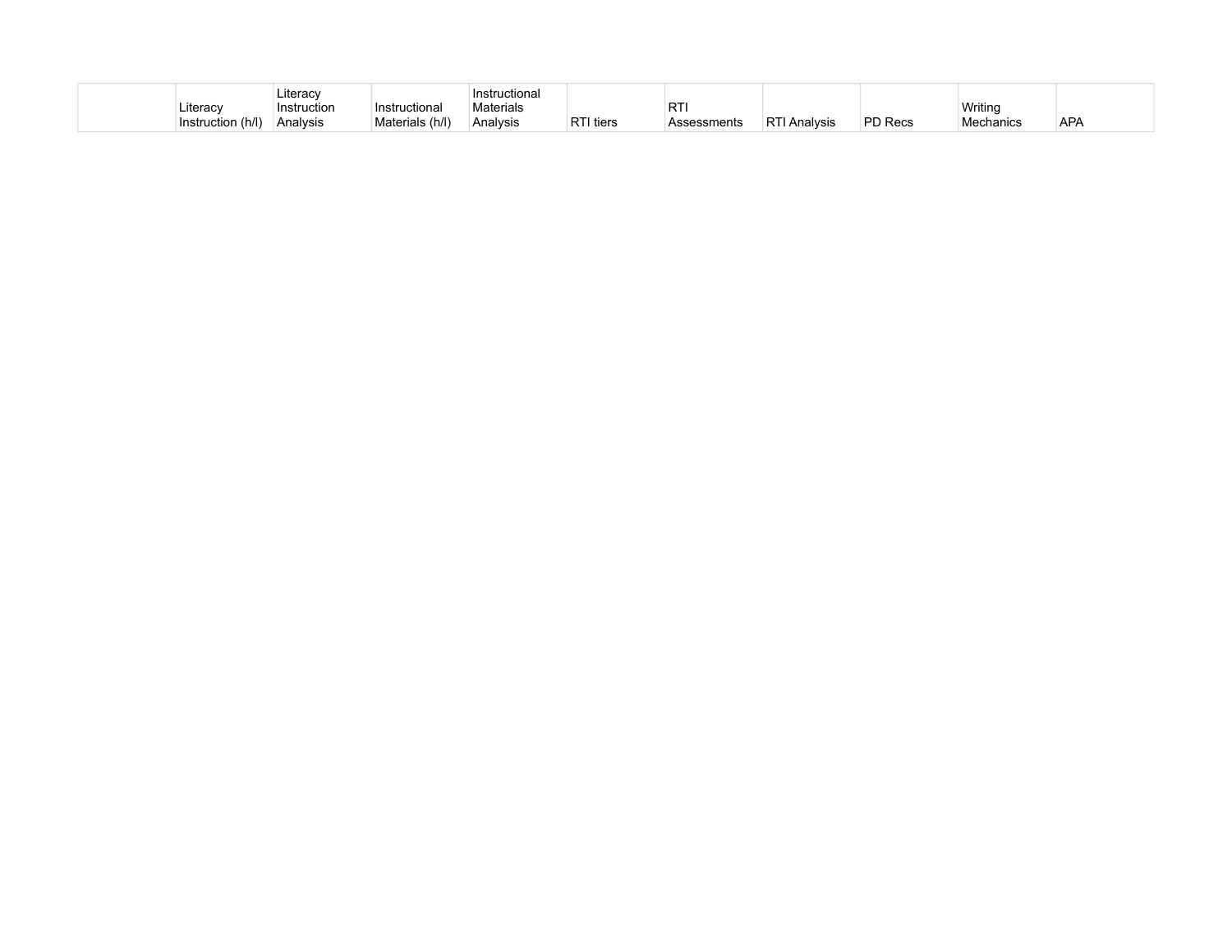|                      | Literac     |                 | tional:                 |           |        |                 |                |                           |                             |
|----------------------|-------------|-----------------|-------------------------|-----------|--------|-----------------|----------------|---------------------------|-----------------------------|
| Literac∖             | Instruction | uctiona         | ` <sup>1</sup> aterials |           |        |                 |                | Writinc                   |                             |
| (h/I)<br>Instruction | Analysis    | (h/l) Materials | Analvsis                | tiers ו⊤י | sments | ⊪RT<br>Analysis | <b>PD</b> Recs | ੋ <sup>, ∤</sup> echanics | $\sim$<br>$AR_{\mathsf{A}}$ |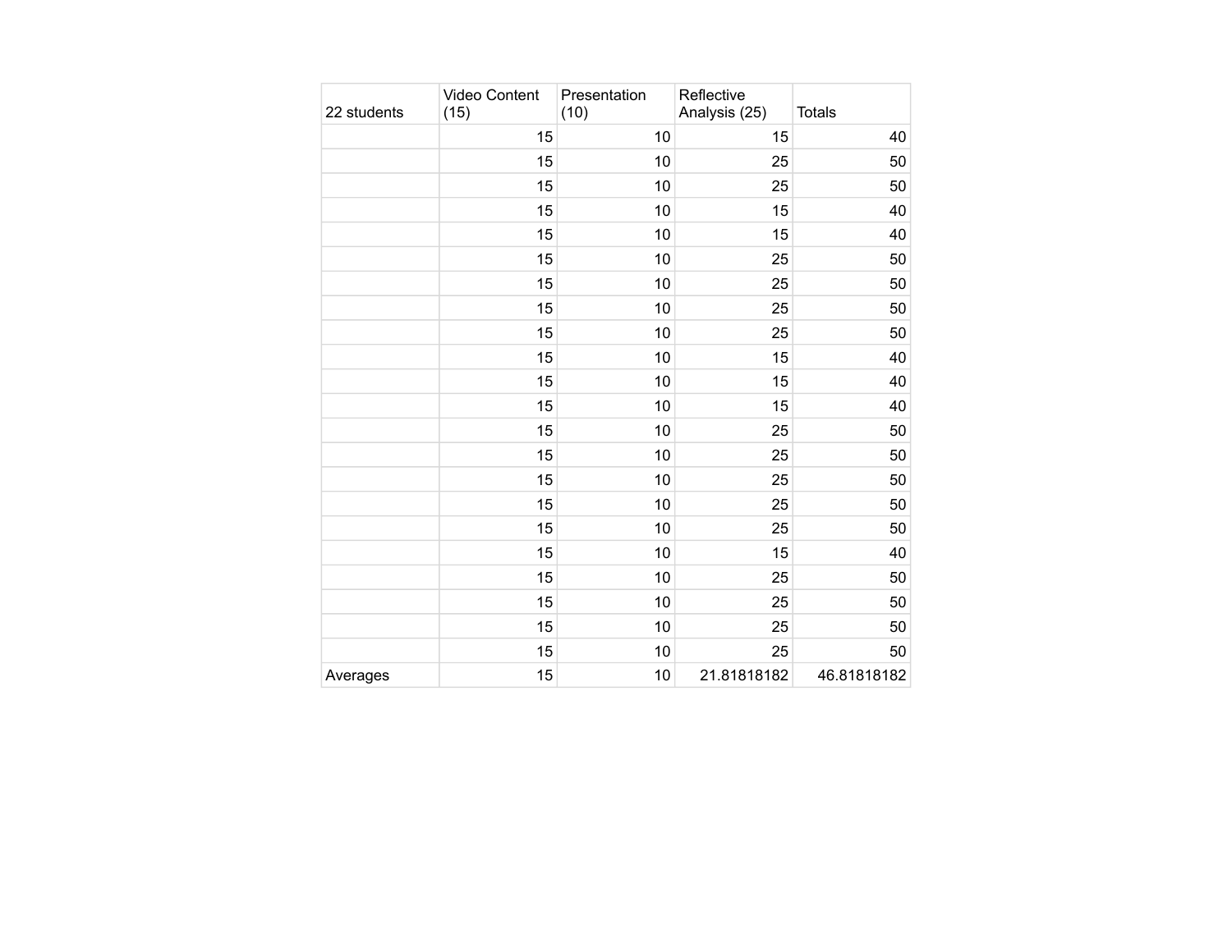| 22 students | Video Content<br>(15) | Presentation<br>(10) | Reflective<br>Analysis (25) | <b>Totals</b> |
|-------------|-----------------------|----------------------|-----------------------------|---------------|
|             | 15                    | 10                   | 15                          | 40            |
|             | 15                    | 10                   | 25                          | 50            |
|             | 15                    | 10                   | 25                          | 50            |
|             | 15                    | 10                   | 15                          | 40            |
|             | 15                    | 10                   | 15                          | 40            |
|             | 15                    | 10                   | 25                          | 50            |
|             | 15                    | 10                   | 25                          | 50            |
|             | 15                    | 10                   | 25                          | 50            |
|             | 15                    | 10                   | 25                          | 50            |
|             | 15                    | 10                   | 15                          | 40            |
|             | 15                    | 10                   | 15                          | 40            |
|             | 15                    | 10                   | 15                          | 40            |
|             | 15                    | 10                   | 25                          | 50            |
|             | 15                    | 10                   | 25                          | 50            |
|             | 15                    | 10                   | 25                          | 50            |
|             | 15                    | 10                   | 25                          | 50            |
|             | 15                    | 10                   | 25                          | 50            |
|             | 15                    | 10                   | 15                          | 40            |
|             | 15                    | 10                   | 25                          | 50            |
|             | 15                    | 10                   | 25                          | 50            |
|             | 15                    | 10                   | 25                          | 50            |
|             | 15                    | 10                   | 25                          | 50            |
| Averages    | 15                    | 10                   | 21.81818182                 | 46.81818182   |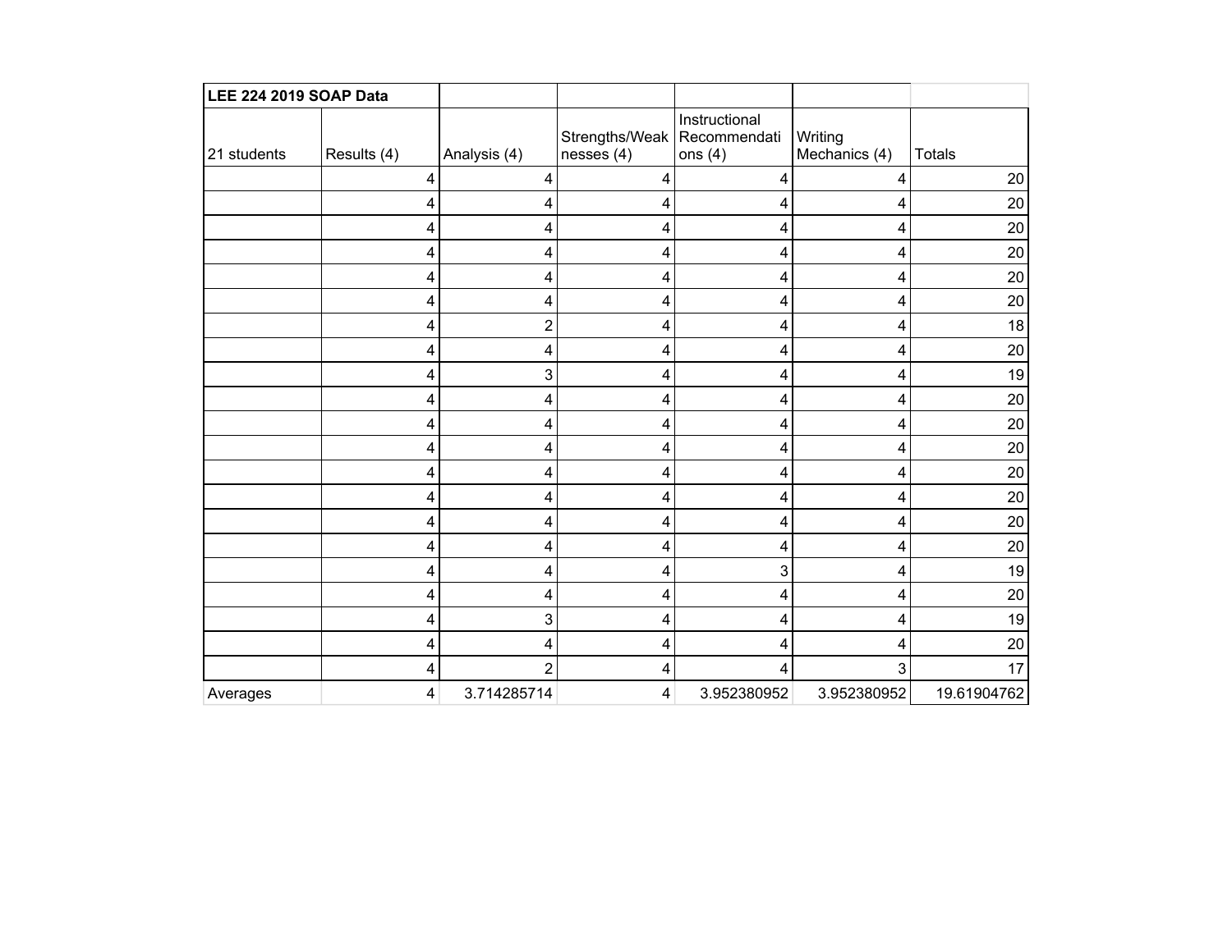| LEE 224 2019 SOAP Data |             |                |                                             |                            |                          |               |
|------------------------|-------------|----------------|---------------------------------------------|----------------------------|--------------------------|---------------|
| 21 students            | Results (4) | Analysis (4)   | Strengths/Weak   Recommendati<br>nesses (4) | Instructional<br>ons $(4)$ | Writing<br>Mechanics (4) | <b>Totals</b> |
|                        | 4           | 4              | 4                                           | 4                          | 4                        | 20            |
|                        | 4           | 4              | 4                                           | 4                          | 4                        | 20            |
|                        | 4           | 4              | 4                                           | 4                          | 4                        | 20            |
|                        | 4           | 4              | 4                                           | 4                          | 4                        | 20            |
|                        | 4           | 4              | 4                                           | 4                          | 4                        | 20            |
|                        | 4           | 4              | 4                                           | 4                          | 4                        | 20            |
|                        | 4           | $\overline{c}$ | 4                                           | 4                          | 4                        | 18            |
|                        | 4           | 4              | 4                                           | 4                          | 4                        | $20\,$        |
|                        | 4           | 3              | 4                                           | 4                          | 4                        | 19            |
|                        | 4           | 4              | 4                                           | 4                          | 4                        | $20\,$        |
|                        | 4           | 4              | 4                                           | 4                          | 4                        | 20            |
|                        | 4           | 4              | 4                                           | 4                          | 4                        | $20\,$        |
|                        | 4           | 4              | 4                                           | 4                          | 4                        | 20            |
|                        | 4           | 4              | 4                                           | 4                          | 4                        | $20\,$        |
|                        | 4           | 4              | 4                                           | 4                          | 4                        | 20            |
|                        | 4           | 4              | 4                                           | 4                          | 4                        | 20            |
|                        | 4           | 4              | 4                                           | 3                          | 4                        | 19            |
|                        | 4           | 4              | 4                                           | 4                          | 4                        | 20            |
|                        | 4           | 3              | 4                                           | 4                          | 4                        | 19            |
|                        | 4           | 4              | 4                                           | 4                          | 4                        | $20\,$        |
|                        | 4           | $\overline{2}$ | 4                                           | 4                          | 3                        | 17            |
| Averages               | 4           | 3.714285714    | 4                                           | 3.952380952                | 3.952380952              | 19.61904762   |